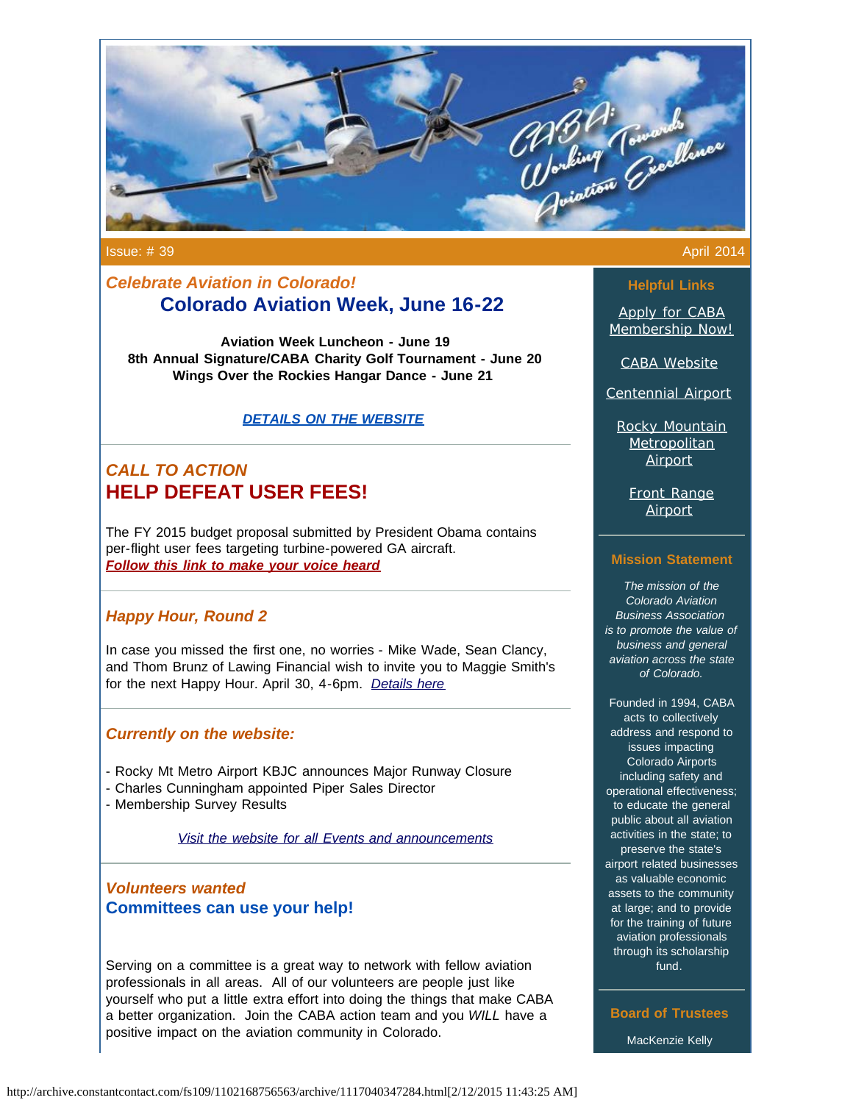

Issue: # 39 April 2014

## *Celebrate Aviation in Colorado!* **Colorado Aviation Week, June 16-22**

**Aviation Week Luncheon - June 19 8th Annual Signature/CABA Charity Golf Tournament - June 20 Wings Over the Rockies Hangar Dance - June 21**

### *[DETAILS ON THE WEBSITE](http://mycaba.org/caw?utm_source=Newsletter+April+2014&utm_campaign=April+2014+Newsletter&utm_medium=email)*

# *CALL TO ACTION*  **HELP DEFEAT USER FEES!**

The FY 2015 budget proposal submitted by President Obama contains per-flight user fees targeting turbine-powered GA aircraft. *[Follow this link to make your voice heard](http://www.mycaba.org/call-to-action?utm_source=Newsletter+April+2014&utm_campaign=April+2014+Newsletter&utm_medium=email)*

## *Happy Hour, Round 2*

In case you missed the first one, no worries - Mike Wade, Sean Clancy, and Thom Brunz of Lawing Financial wish to invite you to Maggie Smith's for the next Happy Hour. April 30, 4-6pm. *[Details here](http://www.mycaba.org/events?utm_source=Newsletter+April+2014&utm_campaign=April+2014+Newsletter&utm_medium=email)*

### *Currently on the website:*

- Rocky Mt Metro Airport KBJC announces Major Runway Closure
- Charles Cunningham appointed Piper Sales Director
- Membership Survey Results

*[Visit the website for all Events and announcements](http://www.mycaba.org/?utm_source=Newsletter+April+2014&utm_campaign=April+2014+Newsletter&utm_medium=email)*

### *Volunteers wanted* **Committees can use your help!**

Serving on a committee is a great way to network with fellow aviation professionals in all areas. All of our volunteers are people just like yourself who put a little extra effort into doing the things that make CABA a better organization. Join the CABA action team and you *WILL* have a positive impact on the aviation community in Colorado.

### **Helpful Links**

[Apply for CABA](http://www.mycaba.org/application?utm_source=Newsletter+April+2014&utm_campaign=April+2014+Newsletter&utm_medium=email) [Membership Now!](http://www.mycaba.org/application?utm_source=Newsletter+April+2014&utm_campaign=April+2014+Newsletter&utm_medium=email)

[CABA Website](http://www.mycaba.org/?utm_source=Newsletter+April+2014&utm_campaign=April+2014+Newsletter&utm_medium=email)

[Centennial Airport](http://centennialairport.com/?utm_source=Newsletter+April+2014&utm_campaign=April+2014+Newsletter&utm_medium=email)

[Rocky Mountain](http://jeffco.us/airport/?utm_source=Newsletter+April+2014&utm_campaign=April+2014+Newsletter&utm_medium=email) **[Metropolitan](http://jeffco.us/airport/?utm_source=Newsletter+April+2014&utm_campaign=April+2014+Newsletter&utm_medium=email)** [Airport](http://jeffco.us/airport/?utm_source=Newsletter+April+2014&utm_campaign=April+2014+Newsletter&utm_medium=email)

> [Front Range](http://www.ftg-airport.com/?utm_source=Newsletter+April+2014&utm_campaign=April+2014+Newsletter&utm_medium=email) [Airport](http://www.ftg-airport.com/?utm_source=Newsletter+April+2014&utm_campaign=April+2014+Newsletter&utm_medium=email)

### **Mission Statement**

*The mission of the Colorado Aviation Business Association is to promote the value of business and general aviation across the state of Colorado.*

Founded in 1994, CABA acts to collectively address and respond to issues impacting Colorado Airports including safety and operational effectiveness; to educate the general public about all aviation activities in the state; to preserve the state's airport related businesses as valuable economic assets to the community at large; and to provide for the training of future aviation professionals through its scholarship fund.

**Board of Trustees** MacKenzie Kelly